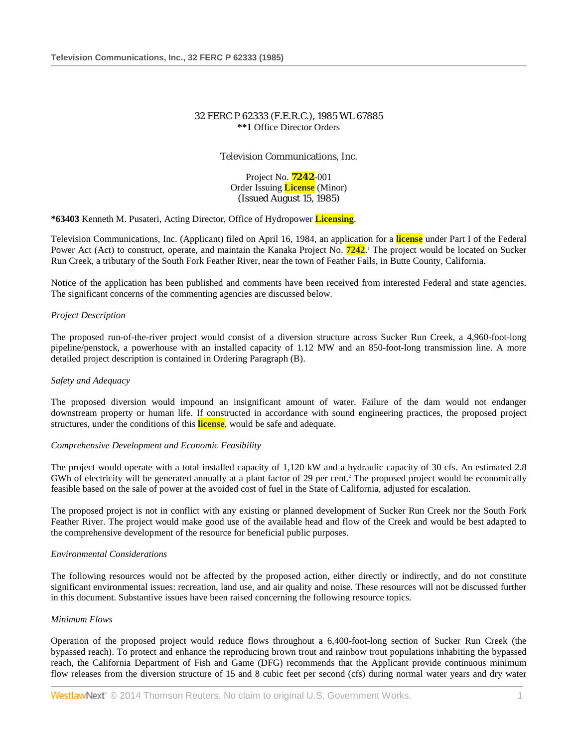# 32 FERC P 62333 (F.E.R.C.), 1985 WL 67885 **\*\*1** Office Director Orders

Television Communications, Inc.

Project No. **7242**-001 Order Issuing **License** (Minor) (Issued August 15, 1985)

**\*63403** Kenneth M. Pusateri, Acting Director, Office of Hydropower **Licensing**.

Television Communications, Inc. (Applicant) filed on April 16, 1984, an application for a **license** under Part I of the Federal Power Act (Act) to construct, operate, and maintain the Kanaka Project No. **7242**.<sup>1</sup> The project would be located on Sucker Run Creek, a tributary of the South Fork Feather River, near the town of Feather Falls, in Butte County, California.

Notice of the application has been published and comments have been received from interested Federal and state agencies. The significant concerns of the commenting agencies are discussed below.

# *Project Description*

The proposed run-of-the-river project would consist of a diversion structure across Sucker Run Creek, a 4,960-foot-long pipeline/penstock, a powerhouse with an installed capacity of 1.12 MW and an 850-foot-long transmission line. A more detailed project description is contained in Ordering Paragraph (B).

## *Safety and Adequacy*

The proposed diversion would impound an insignificant amount of water. Failure of the dam would not endanger downstream property or human life. If constructed in accordance with sound engineering practices, the proposed project structures, under the conditions of this **license**, would be safe and adequate.

## *Comprehensive Development and Economic Feasibility*

The project would operate with a total installed capacity of 1,120 kW and a hydraulic capacity of 30 cfs. An estimated 2.8 GWh of electricity will be generated annually at a plant factor of 29 per cent.<sup>2</sup> The proposed project would be economically feasible based on the sale of power at the avoided cost of fuel in the State of California, adjusted for escalation.

The proposed project is not in conflict with any existing or planned development of Sucker Run Creek nor the South Fork Feather River. The project would make good use of the available head and flow of the Creek and would be best adapted to the comprehensive development of the resource for beneficial public purposes.

## *Environmental Considerations*

The following resources would not be affected by the proposed action, either directly or indirectly, and do not constitute significant environmental issues: recreation, land use, and air quality and noise. These resources will not be discussed further in this document. Substantive issues have been raised concerning the following resource topics.

## *Minimum Flows*

Operation of the proposed project would reduce flows throughout a 6,400-foot-long section of Sucker Run Creek (the bypassed reach). To protect and enhance the reproducing brown trout and rainbow trout populations inhabiting the bypassed reach, the California Department of Fish and Game (DFG) recommends that the Applicant provide continuous minimum flow releases from the diversion structure of 15 and 8 cubic feet per second (cfs) during normal water years and dry water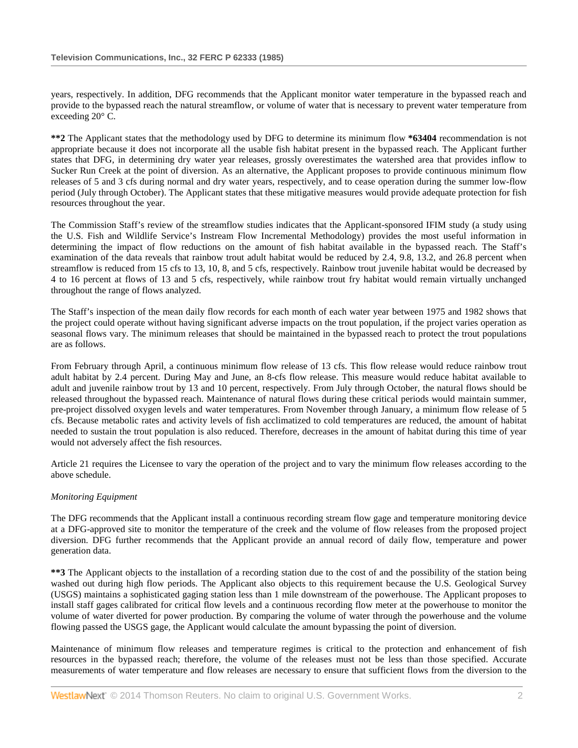years, respectively. In addition, DFG recommends that the Applicant monitor water temperature in the bypassed reach and provide to the bypassed reach the natural streamflow, or volume of water that is necessary to prevent water temperature from exceeding 20° C.

**\*\*2** The Applicant states that the methodology used by DFG to determine its minimum flow **\*63404** recommendation is not appropriate because it does not incorporate all the usable fish habitat present in the bypassed reach. The Applicant further states that DFG, in determining dry water year releases, grossly overestimates the watershed area that provides inflow to Sucker Run Creek at the point of diversion. As an alternative, the Applicant proposes to provide continuous minimum flow releases of 5 and 3 cfs during normal and dry water years, respectively, and to cease operation during the summer low-flow period (July through October). The Applicant states that these mitigative measures would provide adequate protection for fish resources throughout the year.

The Commission Staff's review of the streamflow studies indicates that the Applicant-sponsored IFIM study (a study using the U.S. Fish and Wildlife Service's Instream Flow Incremental Methodology) provides the most useful information in determining the impact of flow reductions on the amount of fish habitat available in the bypassed reach. The Staff's examination of the data reveals that rainbow trout adult habitat would be reduced by 2.4, 9.8, 13.2, and 26.8 percent when streamflow is reduced from 15 cfs to 13, 10, 8, and 5 cfs, respectively. Rainbow trout juvenile habitat would be decreased by 4 to 16 percent at flows of 13 and 5 cfs, respectively, while rainbow trout fry habitat would remain virtually unchanged throughout the range of flows analyzed.

The Staff's inspection of the mean daily flow records for each month of each water year between 1975 and 1982 shows that the project could operate without having significant adverse impacts on the trout population, if the project varies operation as seasonal flows vary. The minimum releases that should be maintained in the bypassed reach to protect the trout populations are as follows.

From February through April, a continuous minimum flow release of 13 cfs. This flow release would reduce rainbow trout adult habitat by 2.4 percent. During May and June, an 8-cfs flow release. This measure would reduce habitat available to adult and juvenile rainbow trout by 13 and 10 percent, respectively. From July through October, the natural flows should be released throughout the bypassed reach. Maintenance of natural flows during these critical periods would maintain summer, pre-project dissolved oxygen levels and water temperatures. From November through January, a minimum flow release of 5 cfs. Because metabolic rates and activity levels of fish acclimatized to cold temperatures are reduced, the amount of habitat needed to sustain the trout population is also reduced. Therefore, decreases in the amount of habitat during this time of year would not adversely affect the fish resources.

Article 21 requires the Licensee to vary the operation of the project and to vary the minimum flow releases according to the above schedule.

# *Monitoring Equipment*

The DFG recommends that the Applicant install a continuous recording stream flow gage and temperature monitoring device at a DFG-approved site to monitor the temperature of the creek and the volume of flow releases from the proposed project diversion. DFG further recommends that the Applicant provide an annual record of daily flow, temperature and power generation data.

**\*\*3** The Applicant objects to the installation of a recording station due to the cost of and the possibility of the station being washed out during high flow periods. The Applicant also objects to this requirement because the U.S. Geological Survey (USGS) maintains a sophisticated gaging station less than 1 mile downstream of the powerhouse. The Applicant proposes to install staff gages calibrated for critical flow levels and a continuous recording flow meter at the powerhouse to monitor the volume of water diverted for power production. By comparing the volume of water through the powerhouse and the volume flowing passed the USGS gage, the Applicant would calculate the amount bypassing the point of diversion.

Maintenance of minimum flow releases and temperature regimes is critical to the protection and enhancement of fish resources in the bypassed reach; therefore, the volume of the releases must not be less than those specified. Accurate measurements of water temperature and flow releases are necessary to ensure that sufficient flows from the diversion to the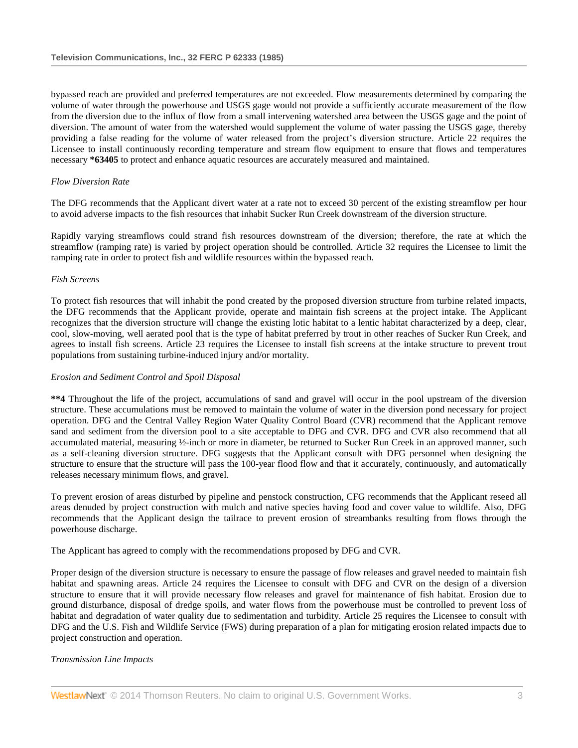bypassed reach are provided and preferred temperatures are not exceeded. Flow measurements determined by comparing the volume of water through the powerhouse and USGS gage would not provide a sufficiently accurate measurement of the flow from the diversion due to the influx of flow from a small intervening watershed area between the USGS gage and the point of diversion. The amount of water from the watershed would supplement the volume of water passing the USGS gage, thereby providing a false reading for the volume of water released from the project's diversion structure. Article 22 requires the Licensee to install continuously recording temperature and stream flow equipment to ensure that flows and temperatures necessary **\*63405** to protect and enhance aquatic resources are accurately measured and maintained.

# *Flow Diversion Rate*

The DFG recommends that the Applicant divert water at a rate not to exceed 30 percent of the existing streamflow per hour to avoid adverse impacts to the fish resources that inhabit Sucker Run Creek downstream of the diversion structure.

Rapidly varying streamflows could strand fish resources downstream of the diversion; therefore, the rate at which the streamflow (ramping rate) is varied by project operation should be controlled. Article 32 requires the Licensee to limit the ramping rate in order to protect fish and wildlife resources within the bypassed reach.

## *Fish Screens*

To protect fish resources that will inhabit the pond created by the proposed diversion structure from turbine related impacts, the DFG recommends that the Applicant provide, operate and maintain fish screens at the project intake. The Applicant recognizes that the diversion structure will change the existing lotic habitat to a lentic habitat characterized by a deep, clear, cool, slow-moving, well aerated pool that is the type of habitat preferred by trout in other reaches of Sucker Run Creek, and agrees to install fish screens. Article 23 requires the Licensee to install fish screens at the intake structure to prevent trout populations from sustaining turbine-induced injury and/or mortality.

## *Erosion and Sediment Control and Spoil Disposal*

**\*\*4** Throughout the life of the project, accumulations of sand and gravel will occur in the pool upstream of the diversion structure. These accumulations must be removed to maintain the volume of water in the diversion pond necessary for project operation. DFG and the Central Valley Region Water Quality Control Board (CVR) recommend that the Applicant remove sand and sediment from the diversion pool to a site acceptable to DFG and CVR. DFG and CVR also recommend that all accumulated material, measuring ½-inch or more in diameter, be returned to Sucker Run Creek in an approved manner, such as a self-cleaning diversion structure. DFG suggests that the Applicant consult with DFG personnel when designing the structure to ensure that the structure will pass the 100-year flood flow and that it accurately, continuously, and automatically releases necessary minimum flows, and gravel.

To prevent erosion of areas disturbed by pipeline and penstock construction, CFG recommends that the Applicant reseed all areas denuded by project construction with mulch and native species having food and cover value to wildlife. Also, DFG recommends that the Applicant design the tailrace to prevent erosion of streambanks resulting from flows through the powerhouse discharge.

The Applicant has agreed to comply with the recommendations proposed by DFG and CVR.

Proper design of the diversion structure is necessary to ensure the passage of flow releases and gravel needed to maintain fish habitat and spawning areas. Article 24 requires the Licensee to consult with DFG and CVR on the design of a diversion structure to ensure that it will provide necessary flow releases and gravel for maintenance of fish habitat. Erosion due to ground disturbance, disposal of dredge spoils, and water flows from the powerhouse must be controlled to prevent loss of habitat and degradation of water quality due to sedimentation and turbidity. Article 25 requires the Licensee to consult with DFG and the U.S. Fish and Wildlife Service (FWS) during preparation of a plan for mitigating erosion related impacts due to project construction and operation.

## *Transmission Line Impacts*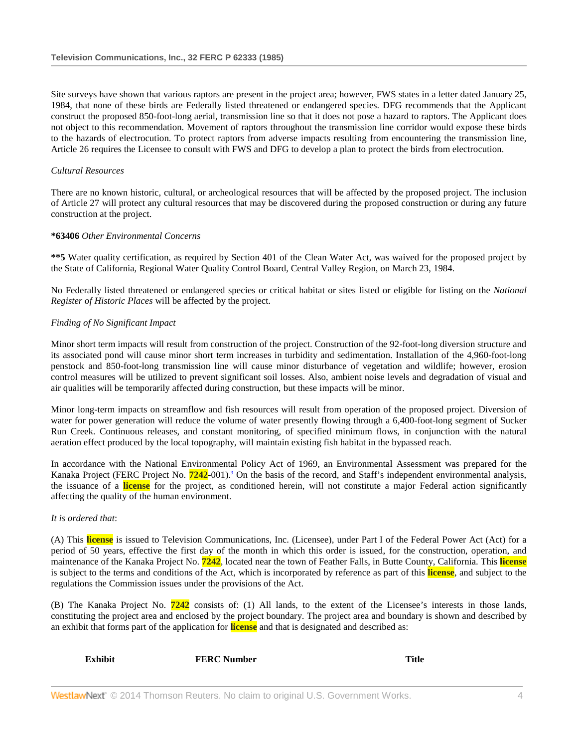Site surveys have shown that various raptors are present in the project area; however, FWS states in a letter dated January 25, 1984, that none of these birds are Federally listed threatened or endangered species. DFG recommends that the Applicant construct the proposed 850-foot-long aerial, transmission line so that it does not pose a hazard to raptors. The Applicant does not object to this recommendation. Movement of raptors throughout the transmission line corridor would expose these birds to the hazards of electrocution. To protect raptors from adverse impacts resulting from encountering the transmission line, Article 26 requires the Licensee to consult with FWS and DFG to develop a plan to protect the birds from electrocution.

# *Cultural Resources*

There are no known historic, cultural, or archeological resources that will be affected by the proposed project. The inclusion of Article 27 will protect any cultural resources that may be discovered during the proposed construction or during any future construction at the project.

#### **\*63406** *Other Environmental Concerns*

**\*\*5** Water quality certification, as required by Section 401 of the Clean Water Act, was waived for the proposed project by the State of California, Regional Water Quality Control Board, Central Valley Region, on March 23, 1984.

No Federally listed threatened or endangered species or critical habitat or sites listed or eligible for listing on the *National Register of Historic Places* will be affected by the project.

#### *Finding of No Significant Impact*

Minor short term impacts will result from construction of the project. Construction of the 92-foot-long diversion structure and its associated pond will cause minor short term increases in turbidity and sedimentation. Installation of the 4,960-foot-long penstock and 850-foot-long transmission line will cause minor disturbance of vegetation and wildlife; however, erosion control measures will be utilized to prevent significant soil losses. Also, ambient noise levels and degradation of visual and air qualities will be temporarily affected during construction, but these impacts will be minor.

Minor long-term impacts on streamflow and fish resources will result from operation of the proposed project. Diversion of water for power generation will reduce the volume of water presently flowing through a 6,400-foot-long segment of Sucker Run Creek. Continuous releases, and constant monitoring, of specified minimum flows, in conjunction with the natural aeration effect produced by the local topography, will maintain existing fish habitat in the bypassed reach.

In accordance with the National Environmental Policy Act of 1969, an Environmental Assessment was prepared for the Kanaka Project (FERC Project No. **7242**-001).3 On the basis of the record, and Staff's independent environmental analysis, the issuance of a **license** for the project, as conditioned herein, will not constitute a major Federal action significantly affecting the quality of the human environment.

#### *It is ordered that*:

(A) This **license** is issued to Television Communications, Inc. (Licensee), under Part I of the Federal Power Act (Act) for a period of 50 years, effective the first day of the month in which this order is issued, for the construction, operation, and maintenance of the Kanaka Project No. **7242**, located near the town of Feather Falls, in Butte County, California. This **license** is subject to the terms and conditions of the Act, which is incorporated by reference as part of this **license**, and subject to the regulations the Commission issues under the provisions of the Act.

(B) The Kanaka Project No. **7242** consists of: (1) All lands, to the extent of the Licensee's interests in those lands, constituting the project area and enclosed by the project boundary. The project area and boundary is shown and described by an exhibit that forms part of the application for **license** and that is designated and described as:

| <b>Exhibit</b> | <b>FERC Number</b> | <b>Title</b> |
|----------------|--------------------|--------------|
|                |                    |              |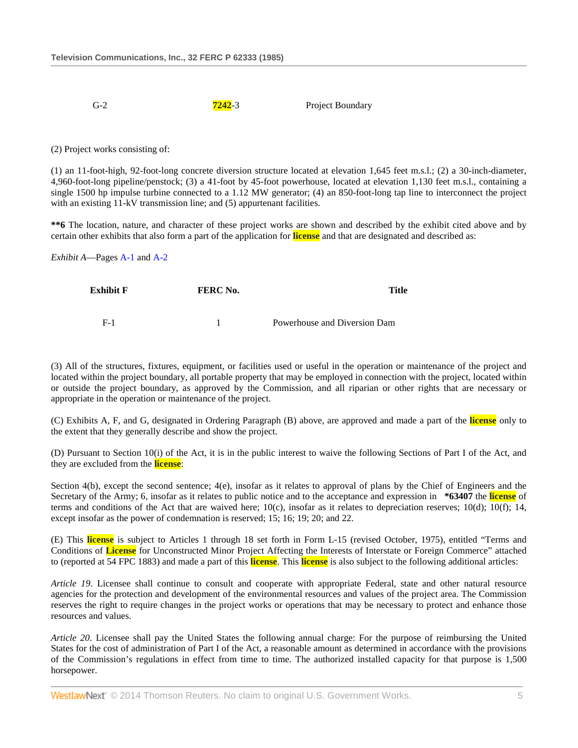G-2 **7242**-3 Project Boundary

(2) Project works consisting of:

(1) an 11-foot-high, 92-foot-long concrete diversion structure located at elevation 1,645 feet m.s.l.; (2) a 30-inch-diameter, 4,960-foot-long pipeline/penstock; (3) a 41-foot by 45-foot powerhouse, located at elevation 1,130 feet m.s.l., containing a single 1500 hp impulse turbine connected to a 1.12 MW generator; (4) an 850-foot-long tap line to interconnect the project with an existing 11-kV transmission line; and (5) appurtenant facilities.

**\*\*6** The location, nature, and character of these project works are shown and described by the exhibit cited above and by certain other exhibits that also form a part of the application for **license** and that are designated and described as:

*Exhibit A*—Pages [A-1](http://www.westlaw.com/Link/Document/FullText?findType=Y&cite=CGOA1&originationContext=document&vr=3.0&rs=cblt1.0&transitionType=DocumentItem&contextData=(sc.Search)) and [A-2](http://www.westlaw.com/Link/Document/FullText?findType=Y&cite=CGOA2&originationContext=document&vr=3.0&rs=cblt1.0&transitionType=DocumentItem&contextData=(sc.Search))

| Exhibit F | FERC No. | Title                        |  |
|-----------|----------|------------------------------|--|
|           |          |                              |  |
| $E-1$     |          | Powerhouse and Diversion Dam |  |

(3) All of the structures, fixtures, equipment, or facilities used or useful in the operation or maintenance of the project and located within the project boundary, all portable property that may be employed in connection with the project, located within or outside the project boundary, as approved by the Commission, and all riparian or other rights that are necessary or appropriate in the operation or maintenance of the project.

(C) Exhibits A, F, and G, designated in Ordering Paragraph (B) above, are approved and made a part of the **license** only to the extent that they generally describe and show the project.

(D) Pursuant to Section 10(i) of the Act, it is in the public interest to waive the following Sections of Part I of the Act, and they are excluded from the **license**:

Section 4(b), except the second sentence; 4(e), insofar as it relates to approval of plans by the Chief of Engineers and the Secretary of the Army; 6, insofar as it relates to public notice and to the acceptance and expression in **\*63407** the **license** of terms and conditions of the Act that are waived here; 10(c), insofar as it relates to depreciation reserves; 10(d); 10(f); 14, except insofar as the power of condemnation is reserved; 15; 16; 19; 20; and 22.

(E) This **license** is subject to Articles 1 through 18 set forth in Form L-15 (revised October, 1975), entitled "Terms and Conditions of **License** for Unconstructed Minor Project Affecting the Interests of Interstate or Foreign Commerce" attached to (reported at 54 FPC 1883) and made a part of this **license**. This **license** is also subject to the following additional articles:

*Article 19*. Licensee shall continue to consult and cooperate with appropriate Federal, state and other natural resource agencies for the protection and development of the environmental resources and values of the project area. The Commission reserves the right to require changes in the project works or operations that may be necessary to protect and enhance those resources and values.

*Article 20*. Licensee shall pay the United States the following annual charge: For the purpose of reimbursing the United States for the cost of administration of Part I of the Act, a reasonable amount as determined in accordance with the provisions of the Commission's regulations in effect from time to time. The authorized installed capacity for that purpose is 1,500 horsepower.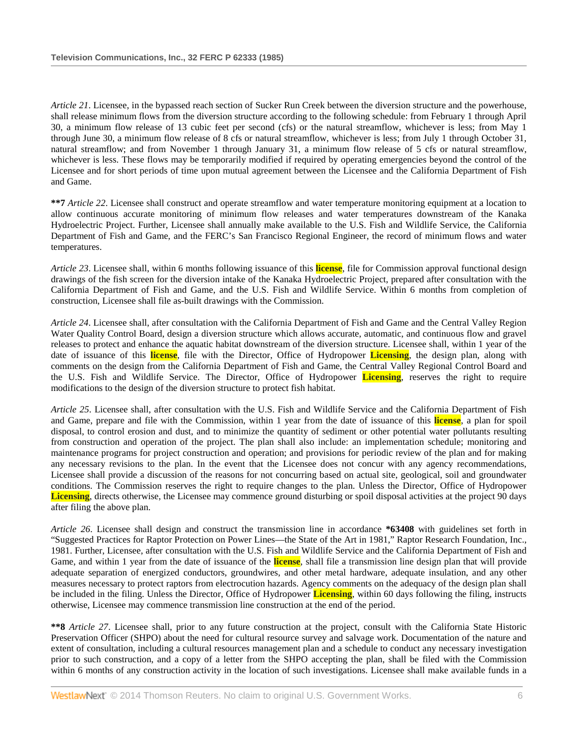*Article 21*. Licensee, in the bypassed reach section of Sucker Run Creek between the diversion structure and the powerhouse, shall release minimum flows from the diversion structure according to the following schedule: from February 1 through April 30, a minimum flow release of 13 cubic feet per second (cfs) or the natural streamflow, whichever is less; from May 1 through June 30, a minimum flow release of 8 cfs or natural streamflow, whichever is less; from July 1 through October 31, natural streamflow; and from November 1 through January 31, a minimum flow release of 5 cfs or natural streamflow, whichever is less. These flows may be temporarily modified if required by operating emergencies beyond the control of the Licensee and for short periods of time upon mutual agreement between the Licensee and the California Department of Fish and Game.

**\*\*7** *Article 22*. Licensee shall construct and operate streamflow and water temperature monitoring equipment at a location to allow continuous accurate monitoring of minimum flow releases and water temperatures downstream of the Kanaka Hydroelectric Project. Further, Licensee shall annually make available to the U.S. Fish and Wildlife Service, the California Department of Fish and Game, and the FERC's San Francisco Regional Engineer, the record of minimum flows and water temperatures.

*Article 23*. Licensee shall, within 6 months following issuance of this **license**, file for Commission approval functional design drawings of the fish screen for the diversion intake of the Kanaka Hydroelectric Project, prepared after consultation with the California Department of Fish and Game, and the U.S. Fish and Wildlife Service. Within 6 months from completion of construction, Licensee shall file as-built drawings with the Commission.

*Article 24*. Licensee shall, after consultation with the California Department of Fish and Game and the Central Valley Region Water Quality Control Board, design a diversion structure which allows accurate, automatic, and continuous flow and gravel releases to protect and enhance the aquatic habitat downstream of the diversion structure. Licensee shall, within 1 year of the date of issuance of this **license**, file with the Director, Office of Hydropower **Licensing**, the design plan, along with comments on the design from the California Department of Fish and Game, the Central Valley Regional Control Board and the U.S. Fish and Wildlife Service. The Director, Office of Hydropower **Licensing**, reserves the right to require modifications to the design of the diversion structure to protect fish habitat.

*Article 25*. Licensee shall, after consultation with the U.S. Fish and Wildlife Service and the California Department of Fish and Game, prepare and file with the Commission, within 1 year from the date of issuance of this **license**, a plan for spoil disposal, to control erosion and dust, and to minimize the quantity of sediment or other potential water pollutants resulting from construction and operation of the project. The plan shall also include: an implementation schedule; monitoring and maintenance programs for project construction and operation; and provisions for periodic review of the plan and for making any necessary revisions to the plan. In the event that the Licensee does not concur with any agency recommendations, Licensee shall provide a discussion of the reasons for not concurring based on actual site, geological, soil and groundwater conditions. The Commission reserves the right to require changes to the plan. Unless the Director, Office of Hydropower **Licensing**, directs otherwise, the Licensee may commence ground disturbing or spoil disposal activities at the project 90 days after filing the above plan.

*Article 26*. Licensee shall design and construct the transmission line in accordance **\*63408** with guidelines set forth in "Suggested Practices for Raptor Protection on Power Lines—the State of the Art in 1981," Raptor Research Foundation, Inc., 1981. Further, Licensee, after consultation with the U.S. Fish and Wildlife Service and the California Department of Fish and Game, and within 1 year from the date of issuance of the **license**, shall file a transmission line design plan that will provide adequate separation of energized conductors, groundwires, and other metal hardware, adequate insulation, and any other measures necessary to protect raptors from electrocution hazards. Agency comments on the adequacy of the design plan shall be included in the filing. Unless the Director, Office of Hydropower **Licensing**, within 60 days following the filing, instructs otherwise, Licensee may commence transmission line construction at the end of the period.

**\*\*8** *Article 27*. Licensee shall, prior to any future construction at the project, consult with the California State Historic Preservation Officer (SHPO) about the need for cultural resource survey and salvage work. Documentation of the nature and extent of consultation, including a cultural resources management plan and a schedule to conduct any necessary investigation prior to such construction, and a copy of a letter from the SHPO accepting the plan, shall be filed with the Commission within 6 months of any construction activity in the location of such investigations. Licensee shall make available funds in a